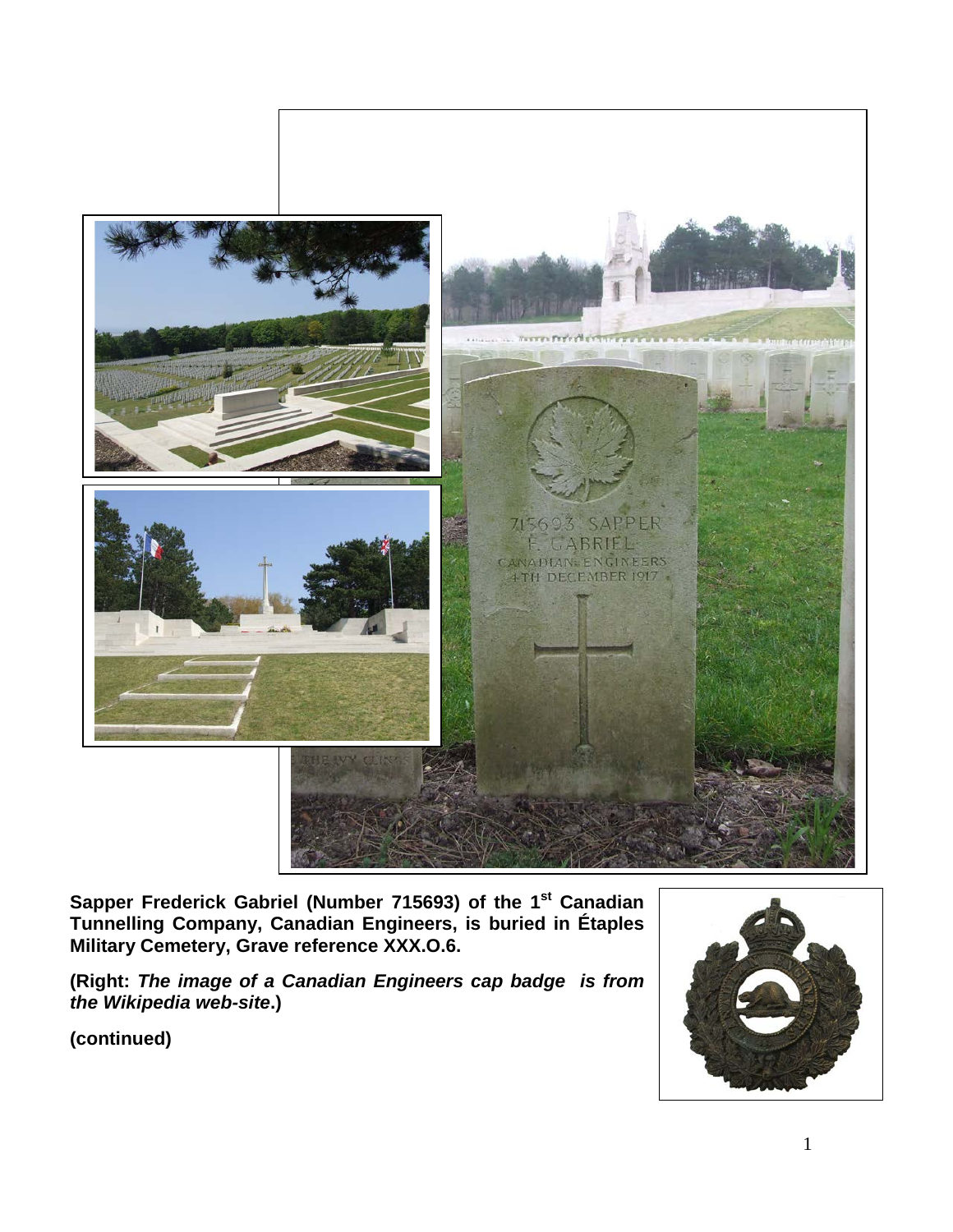

**Sapper Frederick Gabriel (Number 715693) of the 1st Canadian Tunnelling Company, Canadian Engineers, is buried in Étaples Military Cemetery, Grave reference XXX.O.6.** 

**(Right:** *The image of a Canadian Engineers cap badge is from the Wikipedia web-site***.)**

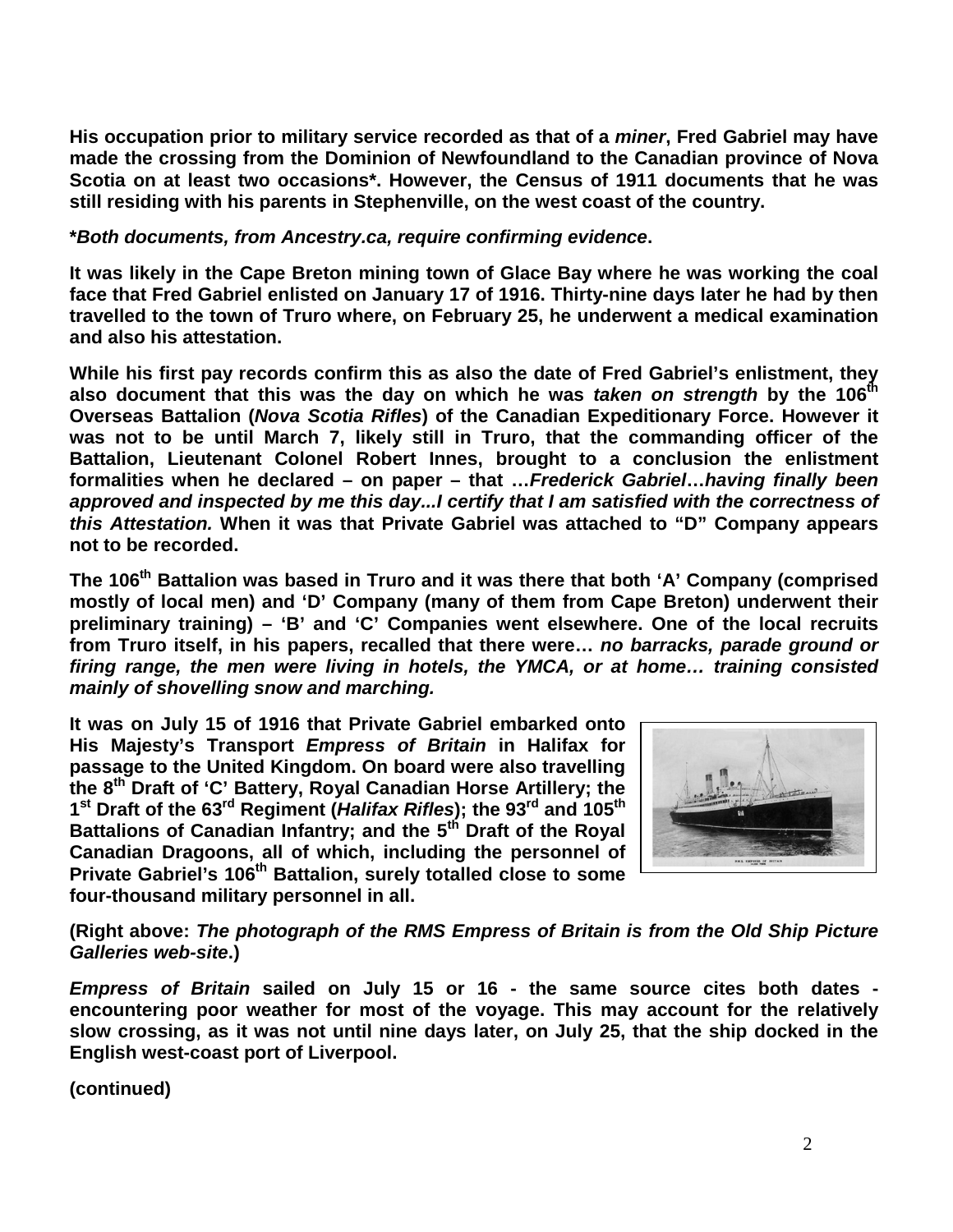**His occupation prior to military service recorded as that of a** *miner***, Fred Gabriel may have made the crossing from the Dominion of Newfoundland to the Canadian province of Nova Scotia on at least two occasions\*. However, the Census of 1911 documents that he was still residing with his parents in Stephenville, on the west coast of the country.** 

## **\****Both documents, from Ancestry.ca, require confirming evidence***.**

**It was likely in the Cape Breton mining town of Glace Bay where he was working the coal face that Fred Gabriel enlisted on January 17 of 1916. Thirty-nine days later he had by then travelled to the town of Truro where, on February 25, he underwent a medical examination and also his attestation.**

**While his first pay records confirm this as also the date of Fred Gabriel's enlistment, they**  also document that this was the day on which he was *taken on strength* by the 106<sup>th</sup> **Overseas Battalion (***Nova Scotia Rifles***) of the Canadian Expeditionary Force. However it was not to be until March 7, likely still in Truro, that the commanding officer of the Battalion, Lieutenant Colonel Robert Innes, brought to a conclusion the enlistment formalities when he declared – on paper – that …***Frederick Gabriel***…***having finally been approved and inspected by me this day...I certify that I am satisfied with the correctness of this Attestation.* **When it was that Private Gabriel was attached to "D" Company appears not to be recorded.**

The 106<sup>th</sup> Battalion was based in Truro and it was there that both 'A' Company (comprised **mostly of local men) and 'D' Company (many of them from Cape Breton) underwent their preliminary training) – 'B' and 'C' Companies went elsewhere. One of the local recruits from Truro itself, in his papers, recalled that there were…** *no barracks, parade ground or firing range, the men were living in hotels, the YMCA, or at home… training consisted mainly of shovelling snow and marching.*

**It was on July 15 of 1916 that Private Gabriel embarked onto His Majesty's Transport** *Empress of Britain* **in Halifax for passage to the United Kingdom. On board were also travelling the 8th Draft of 'C' Battery, Royal Canadian Horse Artillery; the 1st Draft of the 63rd Regiment (***Halifax Rifles***); the 93rd and 105th Battalions of Canadian Infantry; and the 5th Draft of the Royal Canadian Dragoons, all of which, including the personnel of Private Gabriel's 106th Battalion, surely totalled close to some four-thousand military personnel in all.**



**(Right above:** *The photograph of the RMS Empress of Britain is from the Old Ship Picture Galleries web-site***.)**

*Empress of Britain* **sailed on July 15 or 16 - the same source cites both dates encountering poor weather for most of the voyage. This may account for the relatively slow crossing, as it was not until nine days later, on July 25, that the ship docked in the English west-coast port of Liverpool.**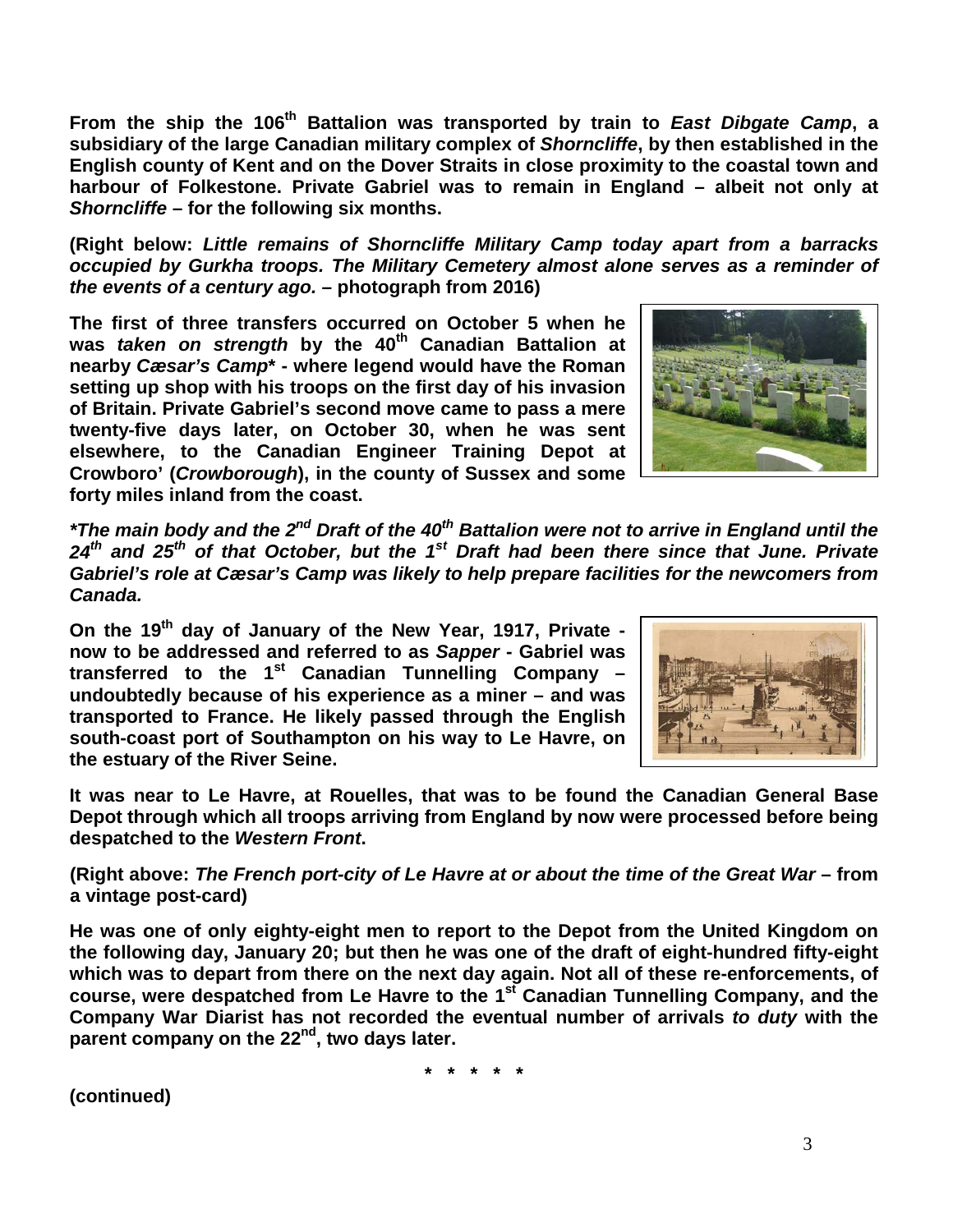From the ship the 106<sup>th</sup> Battalion was transported by train to East Dibgate Camp, a **subsidiary of the large Canadian military complex of** *Shorncliffe***, by then established in the English county of Kent and on the Dover Straits in close proximity to the coastal town and harbour of Folkestone. Private Gabriel was to remain in England – albeit not only at**  *Shorncliffe* **– for the following six months.**

**(Right below:** *Little remains of Shorncliffe Military Camp today apart from a barracks occupied by Gurkha troops. The Military Cemetery almost alone serves as a reminder of the events of a century ago.* **– photograph from 2016)**

**The first of three transfers occurred on October 5 when he was** *taken on strength* **by the 40th Canadian Battalion at nearby** *Cæsar's Camp***\* - where legend would have the Roman setting up shop with his troops on the first day of his invasion of Britain. Private Gabriel's second move came to pass a mere twenty-five days later, on October 30, when he was sent elsewhere, to the Canadian Engineer Training Depot at Crowboro' (***Crowborough***), in the county of Sussex and some forty miles inland from the coast.**



*\*The main body and the 2nd Draft of the 40th Battalion were not to arrive in England until the 24th and 25th of that October, but the 1st Draft had been there since that June. Private Gabriel's role at Cæsar's Camp was likely to help prepare facilities for the newcomers from Canada.*

**On the 19th day of January of the New Year, 1917, Private now to be addressed and referred to as** *Sapper* **- Gabriel was transferred to the 1st Canadian Tunnelling Company – undoubtedly because of his experience as a miner – and was transported to France. He likely passed through the English south-coast port of Southampton on his way to Le Havre, on the estuary of the River Seine.** 



**It was near to Le Havre, at Rouelles, that was to be found the Canadian General Base Depot through which all troops arriving from England by now were processed before being despatched to the** *Western Front***.**

**(Right above:** *The French port-city of Le Havre at or about the time of the Great War* **– from a vintage post-card)**

**He was one of only eighty-eight men to report to the Depot from the United Kingdom on the following day, January 20; but then he was one of the draft of eight-hundred fifty-eight which was to depart from there on the next day again. Not all of these re-enforcements, of course, were despatched from Le Havre to the 1st Canadian Tunnelling Company, and the Company War Diarist has not recorded the eventual number of arrivals** *to duty* **with the parent company on the 22nd, two days later.**

**\* \* \* \* \***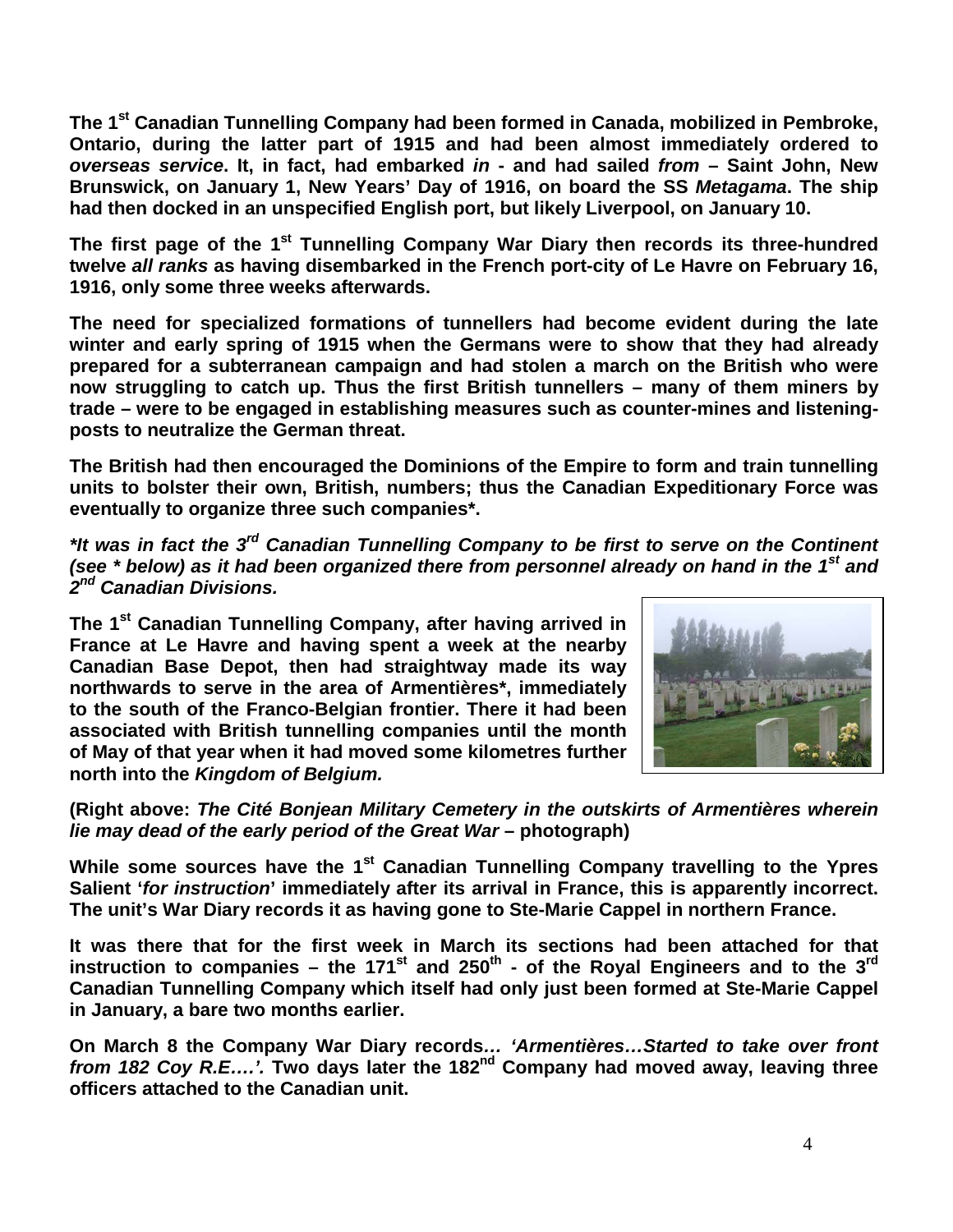**The 1st Canadian Tunnelling Company had been formed in Canada, mobilized in Pembroke, Ontario, during the latter part of 1915 and had been almost immediately ordered to**  *overseas service***. It, in fact, had embarked** *in* **- and had sailed** *from* **– Saint John, New Brunswick, on January 1, New Years' Day of 1916, on board the SS** *Metagama***. The ship had then docked in an unspecified English port, but likely Liverpool, on January 10.**

The first page of the 1<sup>st</sup> Tunnelling Company War Diary then records its three-hundred **twelve** *all ranks* **as having disembarked in the French port-city of Le Havre on February 16, 1916, only some three weeks afterwards.**

**The need for specialized formations of tunnellers had become evident during the late winter and early spring of 1915 when the Germans were to show that they had already prepared for a subterranean campaign and had stolen a march on the British who were now struggling to catch up. Thus the first British tunnellers – many of them miners by trade – were to be engaged in establishing measures such as counter-mines and listeningposts to neutralize the German threat.**

**The British had then encouraged the Dominions of the Empire to form and train tunnelling units to bolster their own, British, numbers; thus the Canadian Expeditionary Force was eventually to organize three such companies\*.**

*\*It was in fact the 3rd Canadian Tunnelling Company to be first to serve on the Continent (see \* below) as it had been organized there from personnel already on hand in the 1st and 2nd Canadian Divisions.*

**The 1st Canadian Tunnelling Company, after having arrived in France at Le Havre and having spent a week at the nearby Canadian Base Depot, then had straightway made its way northwards to serve in the area of Armentières\*, immediately to the south of the Franco-Belgian frontier. There it had been associated with British tunnelling companies until the month of May of that year when it had moved some kilometres further north into the** *Kingdom of Belgium.*



**(Right above:** *The Cité Bonjean Military Cemetery in the outskirts of Armentières wherein lie may dead of the early period of the Great War* **– photograph)**

**While some sources have the 1st Canadian Tunnelling Company travelling to the Ypres Salient '***for instruction***' immediately after its arrival in France, this is apparently incorrect. The unit's War Diary records it as having gone to Ste-Marie Cappel in northern France.** 

**It was there that for the first week in March its sections had been attached for that instruction to companies – the 171<sup>st</sup> and 250<sup>th</sup> - of the Royal Engineers and to the 3<sup>rd</sup> Canadian Tunnelling Company which itself had only just been formed at Ste-Marie Cappel in January, a bare two months earlier.**

**On March 8 the Company War Diary records***… 'Armentières…Started to take over front from 182 Coy R.E….'.* **Two days later the 182nd Company had moved away, leaving three officers attached to the Canadian unit.**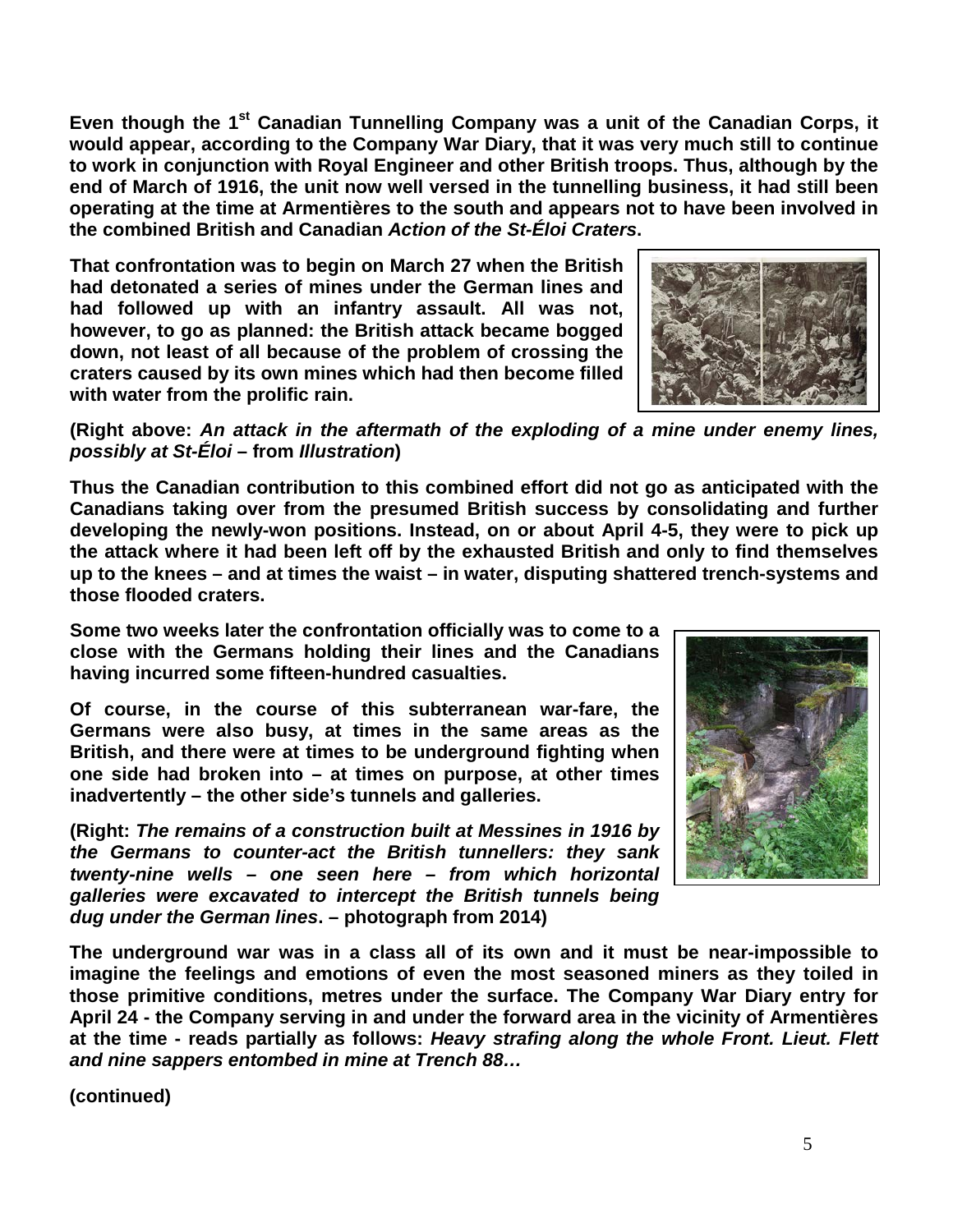**Even though the 1st Canadian Tunnelling Company was a unit of the Canadian Corps, it would appear, according to the Company War Diary, that it was very much still to continue to work in conjunction with Royal Engineer and other British troops. Thus, although by the end of March of 1916, the unit now well versed in the tunnelling business, it had still been operating at the time at Armentières to the south and appears not to have been involved in the combined British and Canadian** *Action of the St-Éloi Craters***.**

**That confrontation was to begin on March 27 when the British had detonated a series of mines under the German lines and had followed up with an infantry assault. All was not, however, to go as planned: the British attack became bogged down, not least of all because of the problem of crossing the craters caused by its own mines which had then become filled with water from the prolific rain.**



**(Right above:** *An attack in the aftermath of the exploding of a mine under enemy lines, possibly at St-Éloi* **– from** *Illustration***)**

**Thus the Canadian contribution to this combined effort did not go as anticipated with the Canadians taking over from the presumed British success by consolidating and further developing the newly-won positions. Instead, on or about April 4-5, they were to pick up the attack where it had been left off by the exhausted British and only to find themselves up to the knees – and at times the waist – in water, disputing shattered trench-systems and those flooded craters.**

**Some two weeks later the confrontation officially was to come to a close with the Germans holding their lines and the Canadians having incurred some fifteen-hundred casualties.**

**Of course, in the course of this subterranean war-fare, the Germans were also busy, at times in the same areas as the British, and there were at times to be underground fighting when one side had broken into – at times on purpose, at other times inadvertently – the other side's tunnels and galleries.**

**(Right:** *The remains of a construction built at Messines in 1916 by the Germans to counter-act the British tunnellers: they sank twenty-nine wells – one seen here – from which horizontal galleries were excavated to intercept the British tunnels being dug under the German lines***. – photograph from 2014)**



**The underground war was in a class all of its own and it must be near-impossible to imagine the feelings and emotions of even the most seasoned miners as they toiled in those primitive conditions, metres under the surface. The Company War Diary entry for April 24 - the Company serving in and under the forward area in the vicinity of Armentières at the time - reads partially as follows:** *Heavy strafing along the whole Front. Lieut. Flett and nine sappers entombed in mine at Trench 88…*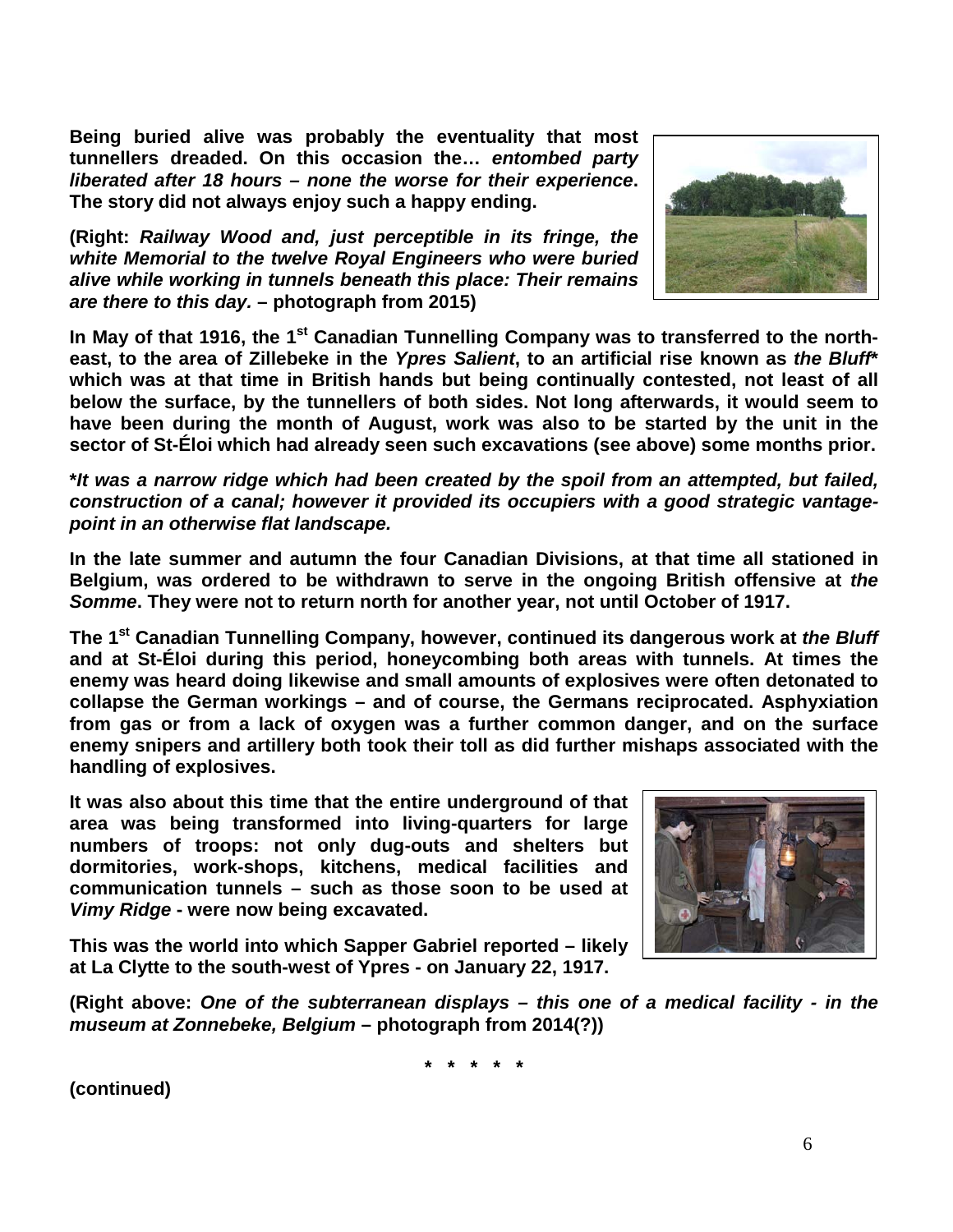**Being buried alive was probably the eventuality that most tunnellers dreaded. On this occasion the…** *entombed party liberated after 18 hours – none the worse for their experience***. The story did not always enjoy such a happy ending.**

**(Right:** *Railway Wood and, just perceptible in its fringe, the white Memorial to the twelve Royal Engineers who were buried alive while working in tunnels beneath this place: Their remains are there to this day.* **– photograph from 2015)**

**In May of that 1916, the 1st Canadian Tunnelling Company was to transferred to the northeast, to the area of Zillebeke in the** *Ypres Salient***, to an artificial rise known as** *the Bluff***\* which was at that time in British hands but being continually contested, not least of all below the surface, by the tunnellers of both sides. Not long afterwards, it would seem to have been during the month of August, work was also to be started by the unit in the sector of St-Éloi which had already seen such excavations (see above) some months prior.**

**\****It was a narrow ridge which had been created by the spoil from an attempted, but failed, construction of a canal; however it provided its occupiers with a good strategic vantagepoint in an otherwise flat landscape.*

**In the late summer and autumn the four Canadian Divisions, at that time all stationed in Belgium, was ordered to be withdrawn to serve in the ongoing British offensive at** *the Somme***. They were not to return north for another year, not until October of 1917.**

**The 1st Canadian Tunnelling Company, however, continued its dangerous work at** *the Bluff* **and at St-Éloi during this period, honeycombing both areas with tunnels. At times the enemy was heard doing likewise and small amounts of explosives were often detonated to collapse the German workings – and of course, the Germans reciprocated. Asphyxiation from gas or from a lack of oxygen was a further common danger, and on the surface enemy snipers and artillery both took their toll as did further mishaps associated with the handling of explosives.**

**It was also about this time that the entire underground of that area was being transformed into living-quarters for large numbers of troops: not only dug-outs and shelters but dormitories, work-shops, kitchens, medical facilities and communication tunnels – such as those soon to be used at**  *Vimy Ridge* **- were now being excavated.**



**This was the world into which Sapper Gabriel reported – likely at La Clytte to the south-west of Ypres - on January 22, 1917.**

**(Right above:** *One of the subterranean displays – this one of a medical facility - in the museum at Zonnebeke, Belgium* **– photograph from 2014(?))**

**\* \* \* \* \***

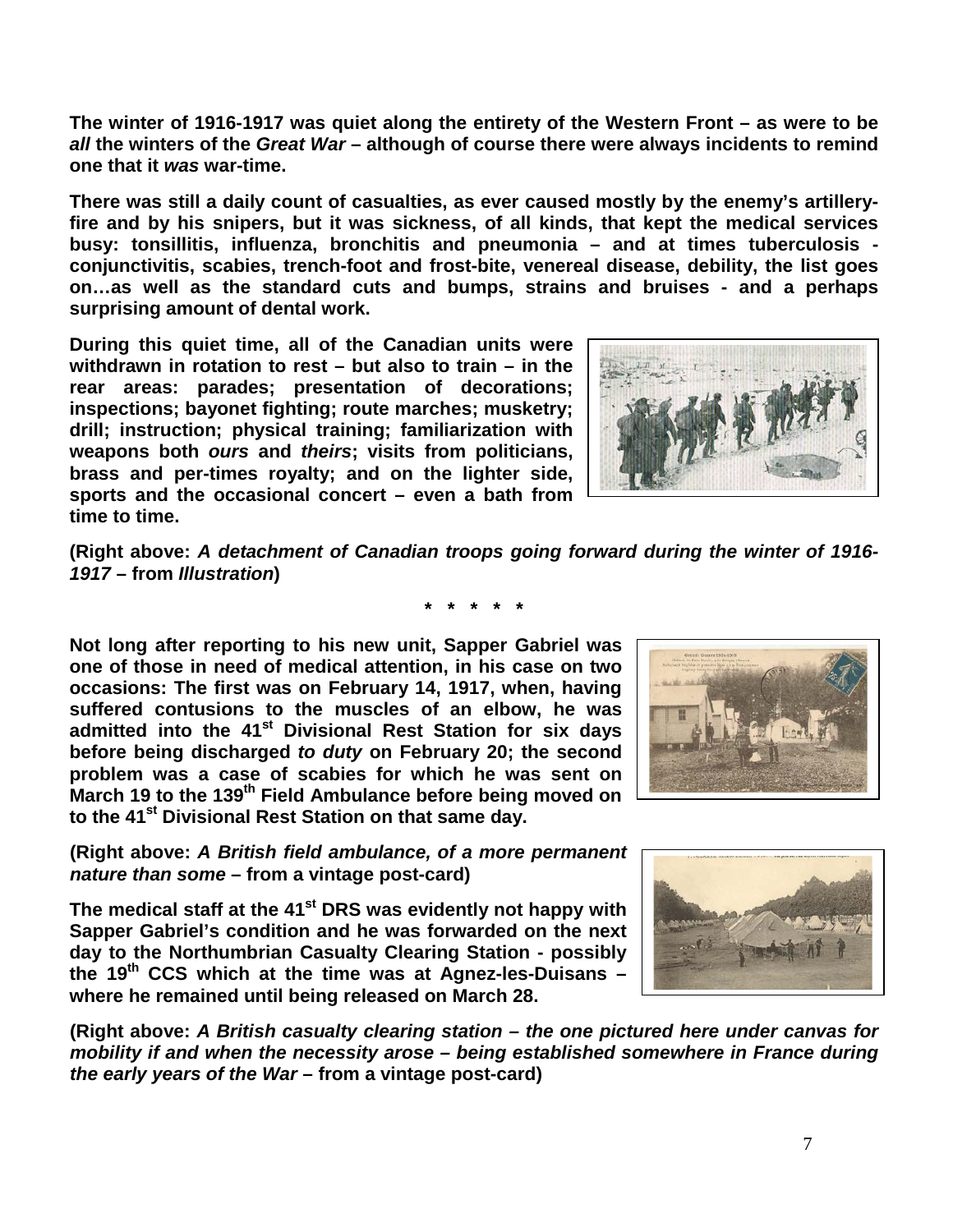**The winter of 1916-1917 was quiet along the entirety of the Western Front – as were to be**  *all* **the winters of the** *Great War* **– although of course there were always incidents to remind one that it** *was* **war-time.**

**There was still a daily count of casualties, as ever caused mostly by the enemy's artilleryfire and by his snipers, but it was sickness, of all kinds, that kept the medical services busy: tonsillitis, influenza, bronchitis and pneumonia – and at times tuberculosis conjunctivitis, scabies, trench-foot and frost-bite, venereal disease, debility, the list goes on…as well as the standard cuts and bumps, strains and bruises - and a perhaps surprising amount of dental work.**

**During this quiet time, all of the Canadian units were withdrawn in rotation to rest – but also to train – in the rear areas: parades; presentation of decorations; inspections; bayonet fighting; route marches; musketry; drill; instruction; physical training; familiarization with weapons both** *ours* **and** *theirs***; visits from politicians, brass and per-times royalty; and on the lighter side, sports and the occasional concert – even a bath from time to time.**



**(Right above:** *A detachment of Canadian troops going forward during the winter of 1916- 1917* **– from** *Illustration***)**

**Not long after reporting to his new unit, Sapper Gabriel was one of those in need of medical attention, in his case on two occasions: The first was on February 14, 1917, when, having suffered contusions to the muscles of an elbow, he was admitted into the 41st Divisional Rest Station for six days before being discharged** *to duty* **on February 20; the second problem was a case of scabies for which he was sent on March 19 to the 139th Field Ambulance before being moved on to the 41st Divisional Rest Station on that same day.** 

**(Right above:** *A British field ambulance, of a more permanent nature than some* **– from a vintage post-card)**

**The medical staff at the 41st DRS was evidently not happy with Sapper Gabriel's condition and he was forwarded on the next day to the Northumbrian Casualty Clearing Station - possibly the 19th CCS which at the time was at Agnez-les-Duisans – where he remained until being released on March 28.** 

**(Right above:** *A British casualty clearing station – the one pictured here under canvas for mobility if and when the necessity arose – being established somewhere in France during the early years of the War* **– from a vintage post-card)**





**\* \* \* \* \***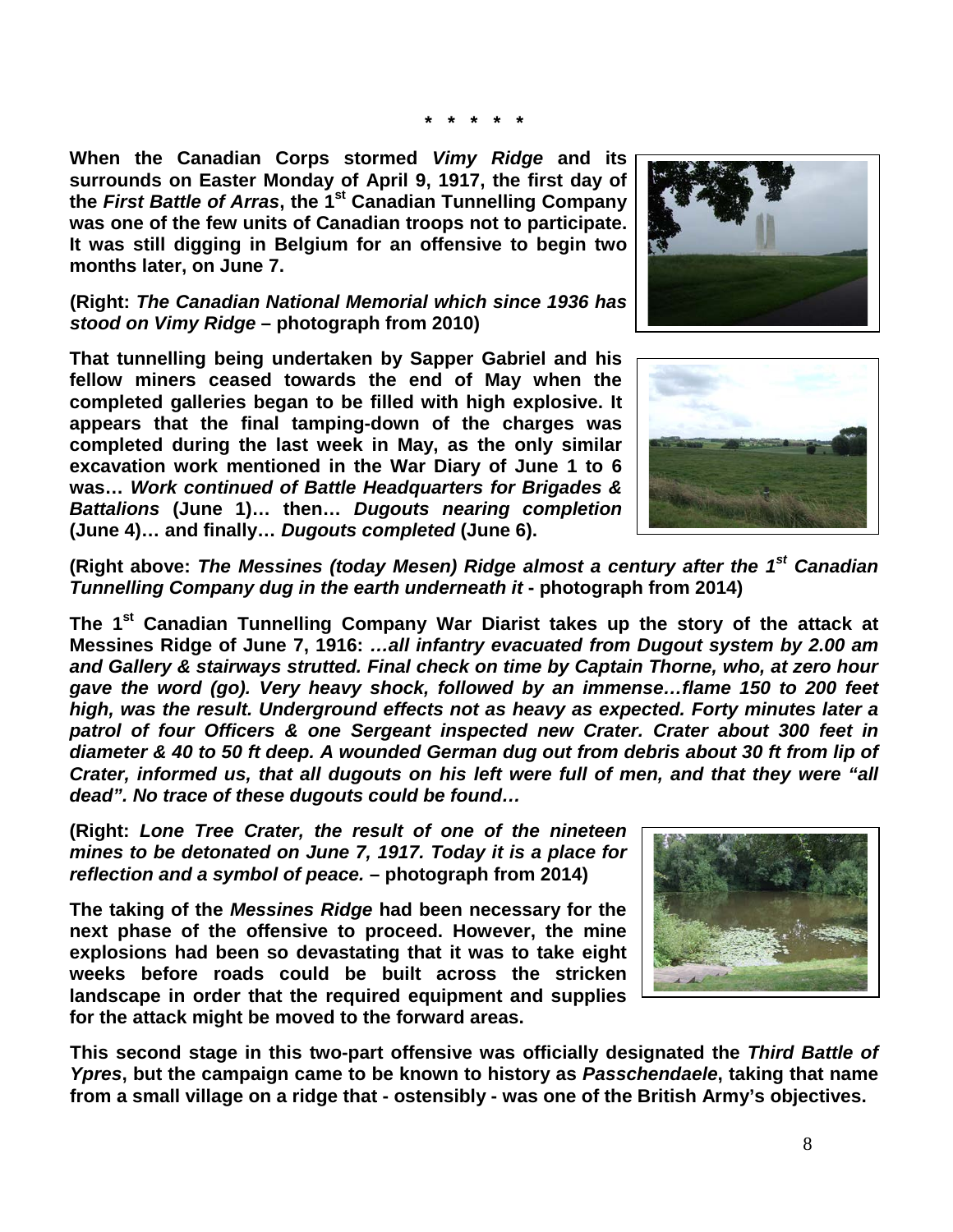**\* \* \* \* \***

**When the Canadian Corps stormed** *Vimy Ridge* **and its surrounds on Easter Monday of April 9, 1917, the first day of the** *First Battle of Arras***, the 1st Canadian Tunnelling Company was one of the few units of Canadian troops not to participate. It was still digging in Belgium for an offensive to begin two months later, on June 7.**

**(Right:** *The Canadian National Memorial which since 1936 has stood on Vimy Ridge* **– photograph from 2010)**

**That tunnelling being undertaken by Sapper Gabriel and his fellow miners ceased towards the end of May when the completed galleries began to be filled with high explosive. It appears that the final tamping-down of the charges was completed during the last week in May, as the only similar excavation work mentioned in the War Diary of June 1 to 6 was…** *Work continued of Battle Headquarters for Brigades & Battalions* **(June 1)… then…** *Dugouts nearing completion* **(June 4)… and finally…** *Dugouts completed* **(June 6).**

![](_page_7_Picture_5.jpeg)

**(Right above:** *The Messines (today Mesen) Ridge almost a century after the 1st Canadian Tunnelling Company dug in the earth underneath it* **- photograph from 2014)**

**The 1st Canadian Tunnelling Company War Diarist takes up the story of the attack at Messines Ridge of June 7, 1916:** *…all infantry evacuated from Dugout system by 2.00 am and Gallery & stairways strutted. Final check on time by Captain Thorne, who, at zero hour gave the word (go). Very heavy shock, followed by an immense…flame 150 to 200 feet high, was the result. Underground effects not as heavy as expected. Forty minutes later a patrol of four Officers & one Sergeant inspected new Crater. Crater about 300 feet in diameter & 40 to 50 ft deep. A wounded German dug out from debris about 30 ft from lip of Crater, informed us, that all dugouts on his left were full of men, and that they were "all dead". No trace of these dugouts could be found…*

**(Right:** *Lone Tree Crater, the result of one of the nineteen mines to be detonated on June 7, 1917. Today it is a place for reflection and a symbol of peace.* **– photograph from 2014)**

**The taking of the** *Messines Ridge* **had been necessary for the next phase of the offensive to proceed. However, the mine explosions had been so devastating that it was to take eight weeks before roads could be built across the stricken landscape in order that the required equipment and supplies for the attack might be moved to the forward areas.** 

**This second stage in this two-part offensive was officially designated the** *Third Battle of Ypres***, but the campaign came to be known to history as** *Passchendaele***, taking that name from a small village on a ridge that - ostensibly - was one of the British Army's objectives.**

![](_page_7_Picture_11.jpeg)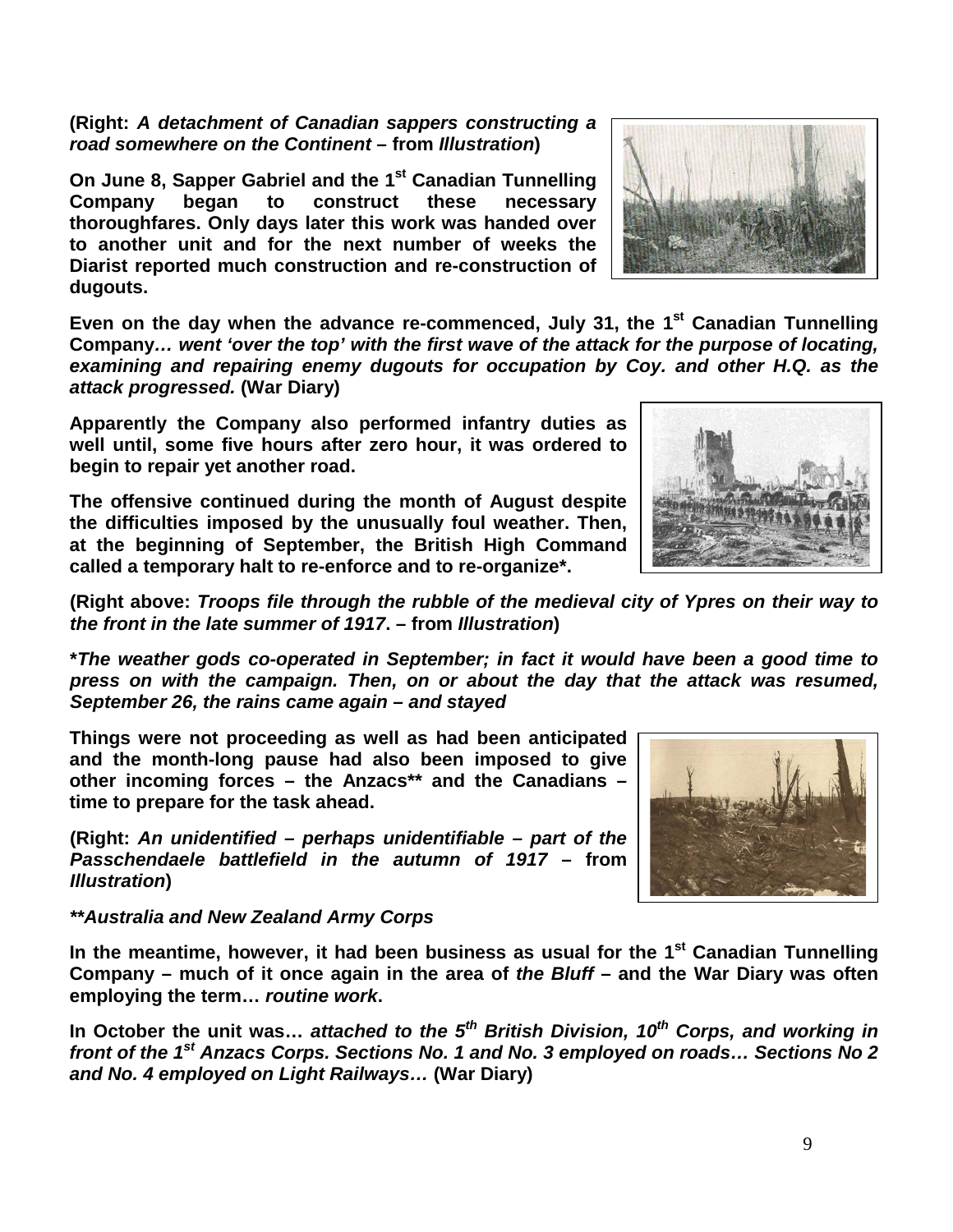9

## **(Right:** *A detachment of Canadian sappers constructing a road somewhere on the Continent* **– from** *Illustration***)**

**On June 8, Sapper Gabriel and the 1<sup>st</sup> Canadian Tunnelling<br>Company began to construct these necessary Company began to construct these necessary thoroughfares. Only days later this work was handed over to another unit and for the next number of weeks the Diarist reported much construction and re-construction of dugouts.** 

Even on the day when the advance re-commenced, July 31, the 1<sup>st</sup> Canadian Tunnelling **Company***… went 'over the top' with the first wave of the attack for the purpose of locating, examining and repairing enemy dugouts for occupation by Coy. and other H.Q. as the attack progressed.* **(War Diary)**

**Apparently the Company also performed infantry duties as well until, some five hours after zero hour, it was ordered to begin to repair yet another road.**

**The offensive continued during the month of August despite the difficulties imposed by the unusually foul weather. Then, at the beginning of September, the British High Command called a temporary halt to re-enforce and to re-organize\*.**

**(Right above:** *Troops file through the rubble of the medieval city of Ypres on their way to the front in the late summer of 1917***. – from** *Illustration***)**

**\****The weather gods co-operated in September; in fact it would have been a good time to press on with the campaign. Then, on or about the day that the attack was resumed, September 26, the rains came again – and stayed*

**Things were not proceeding as well as had been anticipated and the month-long pause had also been imposed to give other incoming forces – the Anzacs\*\* and the Canadians – time to prepare for the task ahead.**

**(Right:** *An unidentified – perhaps unidentifiable – part of the Passchendaele battlefield in the autumn of 1917* **– from**  *Illustration***)**

*\*\*Australia and New Zealand Army Corps*

**In the meantime, however, it had been business as usual for the 1st Canadian Tunnelling Company – much of it once again in the area of** *the Bluff* **– and the War Diary was often employing the term…** *routine work***.** 

**In October the unit was…** *attached to the 5th British Division, 10th Corps, and working in front of the 1st Anzacs Corps. Sections No. 1 and No. 3 employed on roads… Sections No 2 and No. 4 employed on Light Railways…* **(War Diary)**

![](_page_8_Picture_13.jpeg)

![](_page_8_Picture_14.jpeg)

![](_page_8_Picture_15.jpeg)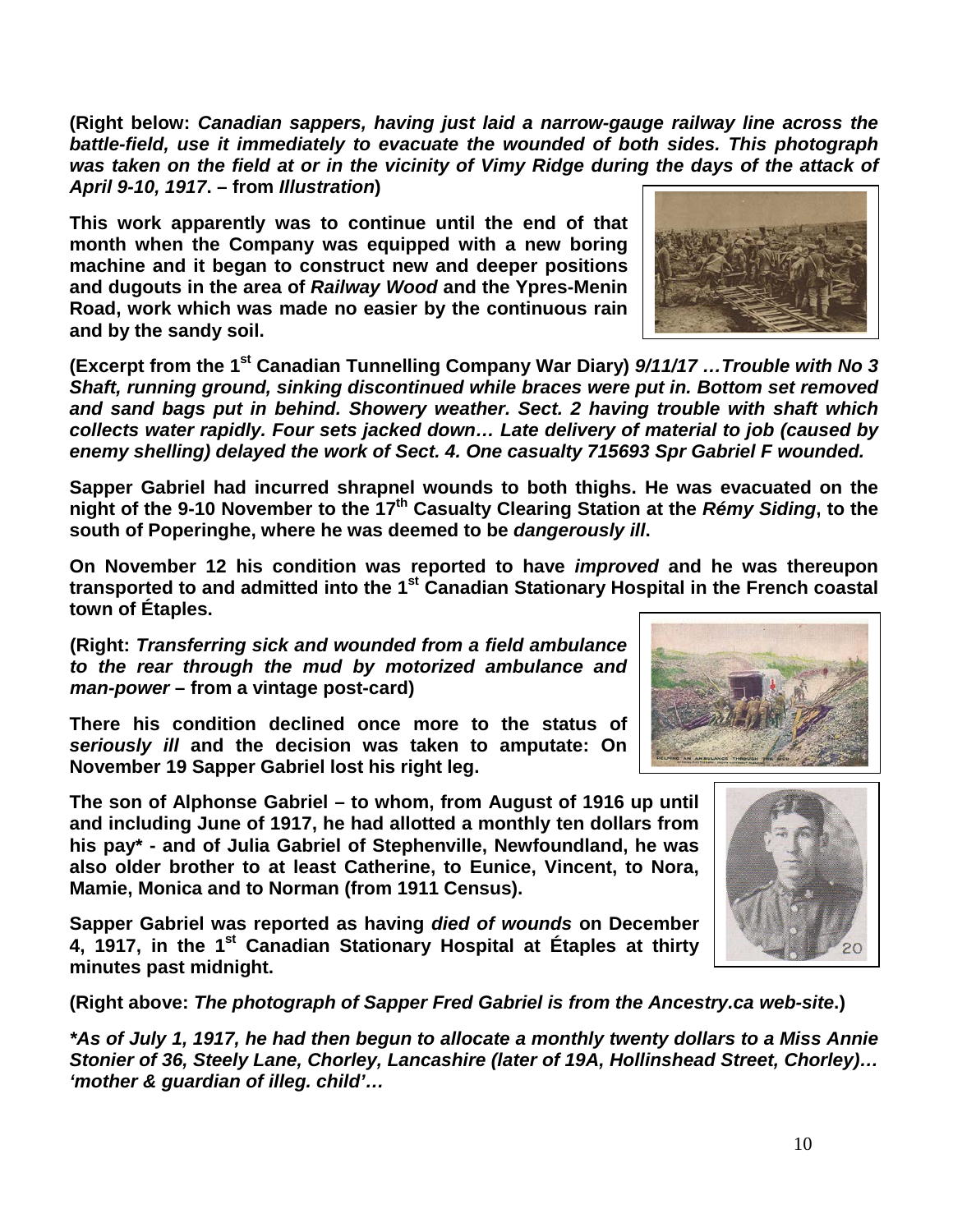**(Right below:** *Canadian sappers, having just laid a narrow-gauge railway line across the battle-field, use it immediately to evacuate the wounded of both sides. This photograph was taken on the field at or in the vicinity of Vimy Ridge during the days of the attack of April 9-10, 1917***. – from** *Illustration***)**

**This work apparently was to continue until the end of that month when the Company was equipped with a new boring machine and it began to construct new and deeper positions and dugouts in the area of** *Railway Wood* **and the Ypres-Menin Road, work which was made no easier by the continuous rain and by the sandy soil.**

**(Excerpt from the 1st Canadian Tunnelling Company War Diary)** *9/11/17 …Trouble with No 3 Shaft, running ground, sinking discontinued while braces were put in. Bottom set removed and sand bags put in behind. Showery weather. Sect. 2 having trouble with shaft which collects water rapidly. Four sets jacked down… Late delivery of material to job (caused by enemy shelling) delayed the work of Sect. 4. One casualty 715693 Spr Gabriel F wounded.*

**Sapper Gabriel had incurred shrapnel wounds to both thighs. He was evacuated on the night of the 9-10 November to the 17th Casualty Clearing Station at the** *Rémy Siding***, to the south of Poperinghe, where he was deemed to be** *dangerously ill***.** 

**On November 12 his condition was reported to have** *improved* **and he was thereupon transported to and admitted into the 1st Canadian Stationary Hospital in the French coastal town of Étaples.**

**(Right:** *Transferring sick and wounded from a field ambulance to the rear through the mud by motorized ambulance and man-power* **– from a vintage post-card)**

**There his condition declined once more to the status of**  *seriously ill* **and the decision was taken to amputate: On November 19 Sapper Gabriel lost his right leg.**

**The son of Alphonse Gabriel – to whom, from August of 1916 up until and including June of 1917, he had allotted a monthly ten dollars from his pay\* - and of Julia Gabriel of Stephenville, Newfoundland, he was also older brother to at least Catherine, to Eunice, Vincent, to Nora, Mamie, Monica and to Norman (from 1911 Census).**

**Sapper Gabriel was reported as having** *died of wounds* **on December 4, 1917, in the 1st Canadian Stationary Hospital at Étaples at thirty minutes past midnight.**

**(Right above:** *The photograph of Sapper Fred Gabriel is from the Ancestry.ca web-site***.)**

*\*As of July 1, 1917, he had then begun to allocate a monthly twenty dollars to a Miss Annie Stonier of 36, Steely Lane, Chorley, Lancashire (later of 19A, Hollinshead Street, Chorley)… 'mother & guardian of illeg. child'…*

![](_page_9_Picture_12.jpeg)

![](_page_9_Picture_13.jpeg)

![](_page_9_Picture_14.jpeg)

10